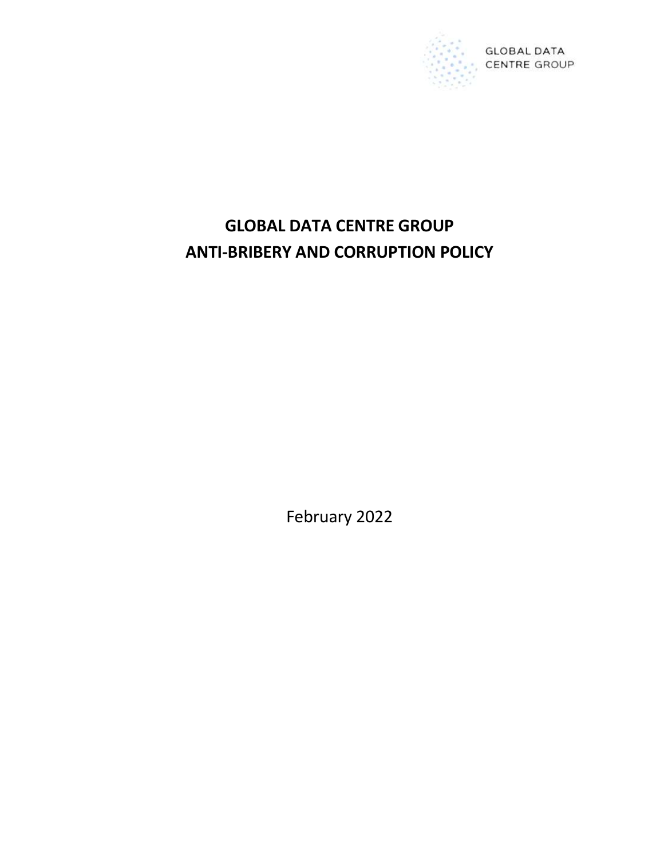

# GLOBAL DATA CENTRE GROUP ANTI-BRIBERY AND CORRUPTION POLICY

February 2022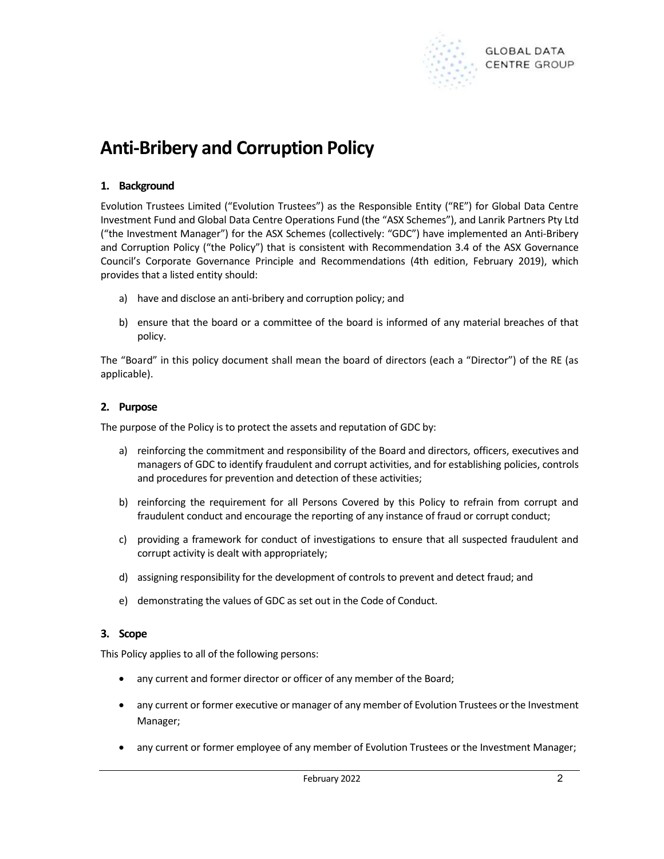

# Anti-Bribery and Corruption Policy

# 1. Background

Evolution Trustees Limited ("Evolution Trustees") as the Responsible Entity ("RE") for Global Data Centre Investment Fund and Global Data Centre Operations Fund (the "ASX Schemes"), and Lanrik Partners Pty Ltd ("the Investment Manager") for the ASX Schemes (collectively: "GDC") have implemented an Anti-Bribery and Corruption Policy ("the Policy") that is consistent with Recommendation 3.4 of the ASX Governance Council's Corporate Governance Principle and Recommendations (4th edition, February 2019), which provides that a listed entity should:

- a) have and disclose an anti-bribery and corruption policy; and
- b) ensure that the board or a committee of the board is informed of any material breaches of that policy.

The "Board" in this policy document shall mean the board of directors (each a "Director") of the RE (as applicable).

#### 2. Purpose

The purpose of the Policy is to protect the assets and reputation of GDC by:

- a) reinforcing the commitment and responsibility of the Board and directors, officers, executives and managers of GDC to identify fraudulent and corrupt activities, and for establishing policies, controls and procedures for prevention and detection of these activities;
- b) reinforcing the requirement for all Persons Covered by this Policy to refrain from corrupt and fraudulent conduct and encourage the reporting of any instance of fraud or corrupt conduct;
- c) providing a framework for conduct of investigations to ensure that all suspected fraudulent and corrupt activity is dealt with appropriately;
- d) assigning responsibility for the development of controls to prevent and detect fraud; and
- e) demonstrating the values of GDC as set out in the Code of Conduct.

#### 3. Scope

This Policy applies to all of the following persons:

- any current and former director or officer of any member of the Board;
- any current or former executive or manager of any member of Evolution Trustees or the Investment Manager;
- any current or former employee of any member of Evolution Trustees or the Investment Manager;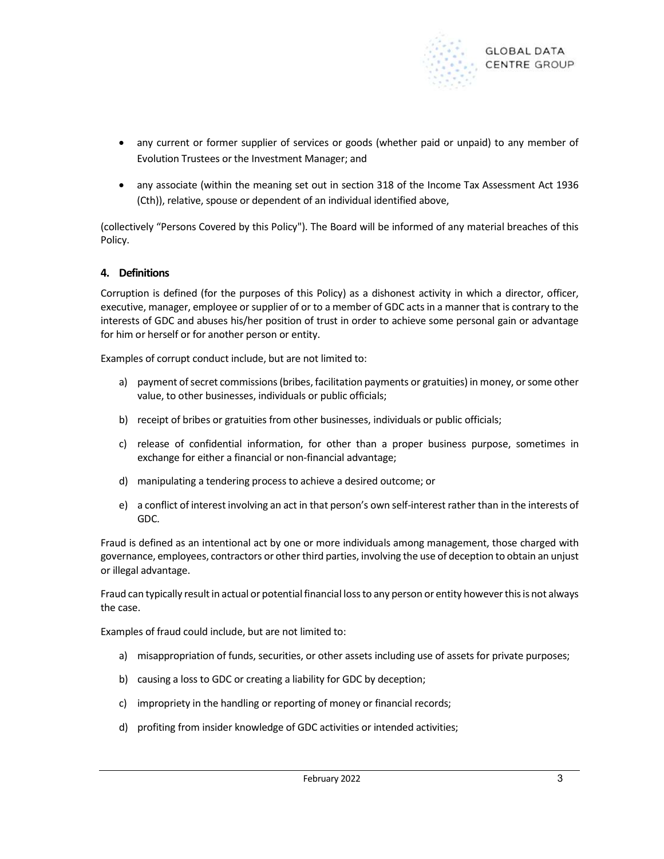

- any current or former supplier of services or goods (whether paid or unpaid) to any member of Evolution Trustees or the Investment Manager; and
- any associate (within the meaning set out in section 318 of the Income Tax Assessment Act 1936 (Cth)), relative, spouse or dependent of an individual identified above,

(collectively "Persons Covered by this Policy"). The Board will be informed of any material breaches of this Policy.

#### 4. Definitions

Corruption is defined (for the purposes of this Policy) as a dishonest activity in which a director, officer, executive, manager, employee or supplier of or to a member of GDC acts in a manner that is contrary to the interests of GDC and abuses his/her position of trust in order to achieve some personal gain or advantage for him or herself or for another person or entity.

Examples of corrupt conduct include, but are not limited to:

- a) payment of secret commissions (bribes, facilitation payments or gratuities) in money, or some other value, to other businesses, individuals or public officials;
- b) receipt of bribes or gratuities from other businesses, individuals or public officials;
- c) release of confidential information, for other than a proper business purpose, sometimes in exchange for either a financial or non-financial advantage;
- d) manipulating a tendering process to achieve a desired outcome; or
- e) a conflict of interest involving an act in that person's own self-interest rather than in the interests of GDC.

Fraud is defined as an intentional act by one or more individuals among management, those charged with governance, employees, contractors or other third parties, involving the use of deception to obtain an unjust or illegal advantage.

Fraud can typically result in actual or potential financial loss to any person or entity however this is not always the case.

Examples of fraud could include, but are not limited to:

- a) misappropriation of funds, securities, or other assets including use of assets for private purposes;
- b) causing a loss to GDC or creating a liability for GDC by deception;
- c) impropriety in the handling or reporting of money or financial records;
- d) profiting from insider knowledge of GDC activities or intended activities;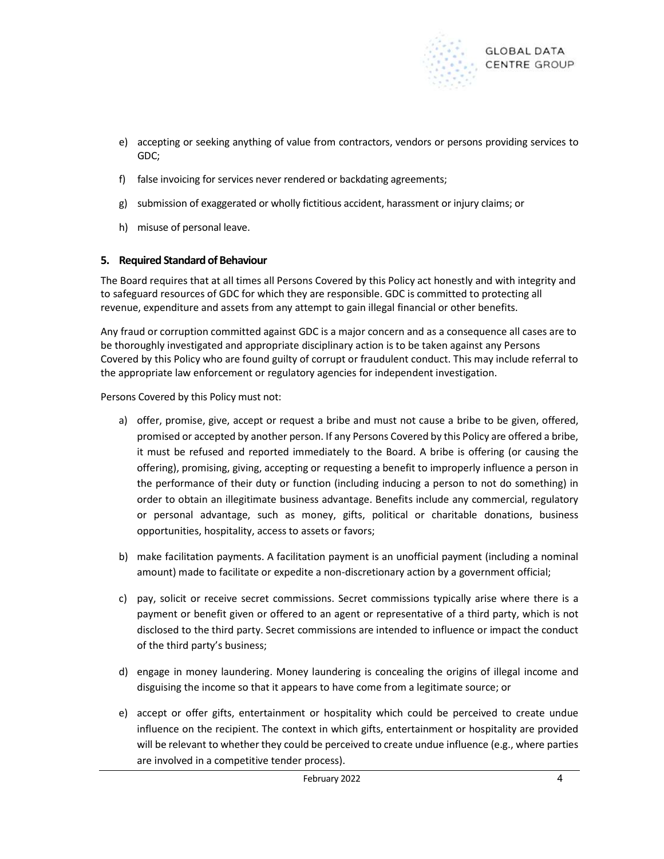

- e) accepting or seeking anything of value from contractors, vendors or persons providing services to GDC;
- f) false invoicing for services never rendered or backdating agreements;
- g) submission of exaggerated or wholly fictitious accident, harassment or injury claims; or
- h) misuse of personal leave.

# 5. Required Standard of Behaviour

The Board requires that at all times all Persons Covered by this Policy act honestly and with integrity and to safeguard resources of GDC for which they are responsible. GDC is committed to protecting all revenue, expenditure and assets from any attempt to gain illegal financial or other benefits.

Any fraud or corruption committed against GDC is a major concern and as a consequence all cases are to be thoroughly investigated and appropriate disciplinary action is to be taken against any Persons Covered by this Policy who are found guilty of corrupt or fraudulent conduct. This may include referral to the appropriate law enforcement or regulatory agencies for independent investigation.

Persons Covered by this Policy must not:

- a) offer, promise, give, accept or request a bribe and must not cause a bribe to be given, offered, promised or accepted by another person. If any Persons Covered by this Policy are offered a bribe, it must be refused and reported immediately to the Board. A bribe is offering (or causing the offering), promising, giving, accepting or requesting a benefit to improperly influence a person in the performance of their duty or function (including inducing a person to not do something) in order to obtain an illegitimate business advantage. Benefits include any commercial, regulatory or personal advantage, such as money, gifts, political or charitable donations, business opportunities, hospitality, access to assets or favors;
- b) make facilitation payments. A facilitation payment is an unofficial payment (including a nominal amount) made to facilitate or expedite a non-discretionary action by a government official;
- c) pay, solicit or receive secret commissions. Secret commissions typically arise where there is a payment or benefit given or offered to an agent or representative of a third party, which is not disclosed to the third party. Secret commissions are intended to influence or impact the conduct of the third party's business;
- d) engage in money laundering. Money laundering is concealing the origins of illegal income and disguising the income so that it appears to have come from a legitimate source; or
- e) accept or offer gifts, entertainment or hospitality which could be perceived to create undue influence on the recipient. The context in which gifts, entertainment or hospitality are provided will be relevant to whether they could be perceived to create undue influence (e.g., where parties are involved in a competitive tender process).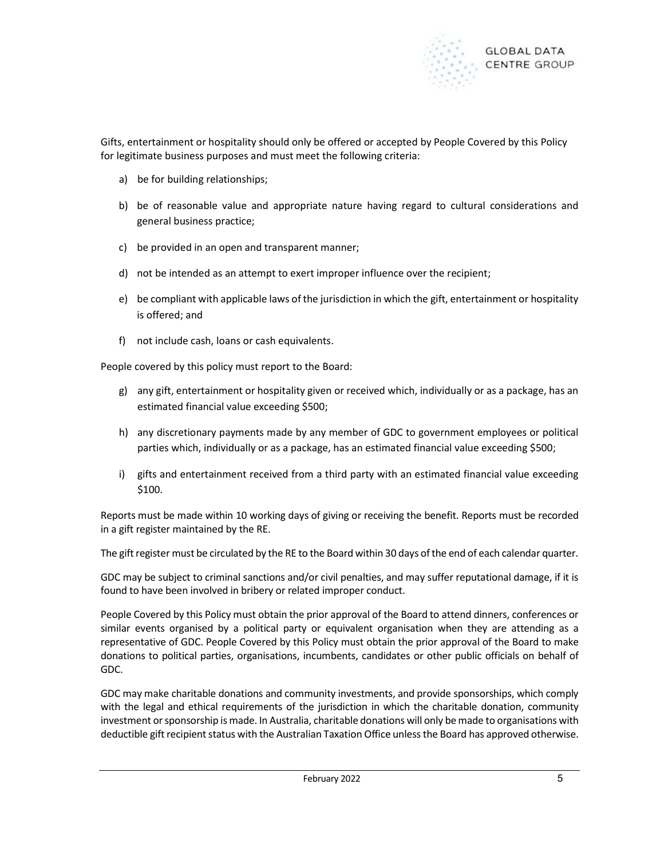

Gifts, entertainment or hospitality should only be offered or accepted by People Covered by this Policy for legitimate business purposes and must meet the following criteria:

- a) be for building relationships;
- b) be of reasonable value and appropriate nature having regard to cultural considerations and general business practice;
- c) be provided in an open and transparent manner;
- d) not be intended as an attempt to exert improper influence over the recipient;
- e) be compliant with applicable laws of the jurisdiction in which the gift, entertainment or hospitality is offered; and
- f) not include cash, loans or cash equivalents.

People covered by this policy must report to the Board:

- g) any gift, entertainment or hospitality given or received which, individually or as a package, has an estimated financial value exceeding \$500;
- h) any discretionary payments made by any member of GDC to government employees or political parties which, individually or as a package, has an estimated financial value exceeding \$500;
- i) gifts and entertainment received from a third party with an estimated financial value exceeding \$100.

Reports must be made within 10 working days of giving or receiving the benefit. Reports must be recorded in a gift register maintained by the RE.

The gift register must be circulated by the RE to the Board within 30 days of the end of each calendar quarter.

GDC may be subject to criminal sanctions and/or civil penalties, and may suffer reputational damage, if it is found to have been involved in bribery or related improper conduct.

People Covered by this Policy must obtain the prior approval of the Board to attend dinners, conferences or similar events organised by a political party or equivalent organisation when they are attending as a representative of GDC. People Covered by this Policy must obtain the prior approval of the Board to make donations to political parties, organisations, incumbents, candidates or other public officials on behalf of GDC.

GDC may make charitable donations and community investments, and provide sponsorships, which comply with the legal and ethical requirements of the jurisdiction in which the charitable donation, community investment or sponsorship is made. In Australia, charitable donations will only be made to organisations with deductible gift recipient status with the Australian Taxation Office unless the Board has approved otherwise.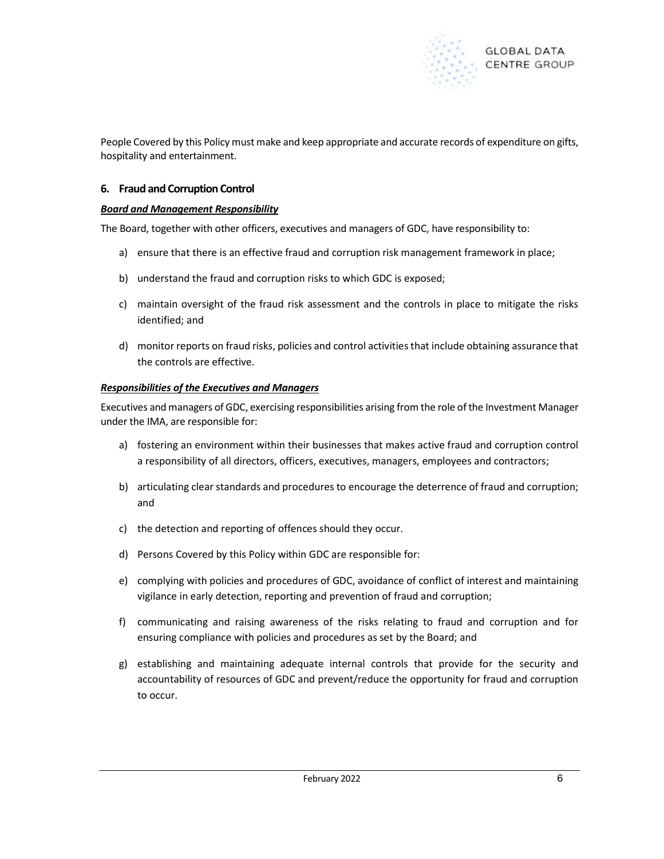

People Covered by this Policy must make and keep appropriate and accurate records of expenditure on gifts, hospitality and entertainment.

# 6. Fraud and Corruption Control

#### Board and Management Responsibility

The Board, together with other officers, executives and managers of GDC, have responsibility to:

- a) ensure that there is an effective fraud and corruption risk management framework in place;
- b) understand the fraud and corruption risks to which GDC is exposed;
- c) maintain oversight of the fraud risk assessment and the controls in place to mitigate the risks identified; and
- d) monitor reports on fraud risks, policies and control activities that include obtaining assurance that the controls are effective.

#### Responsibilities of the Executives and Managers

Executives and managers of GDC, exercising responsibilities arising from the role of the Investment Manager under the IMA, are responsible for:

- a) fostering an environment within their businesses that makes active fraud and corruption control a responsibility of all directors, officers, executives, managers, employees and contractors;
- b) articulating clear standards and procedures to encourage the deterrence of fraud and corruption; and
- c) the detection and reporting of offences should they occur.
- d) Persons Covered by this Policy within GDC are responsible for:
- e) complying with policies and procedures of GDC, avoidance of conflict of interest and maintaining vigilance in early detection, reporting and prevention of fraud and corruption;
- f) communicating and raising awareness of the risks relating to fraud and corruption and for ensuring compliance with policies and procedures as set by the Board; and
- g) establishing and maintaining adequate internal controls that provide for the security and accountability of resources of GDC and prevent/reduce the opportunity for fraud and corruption to occur.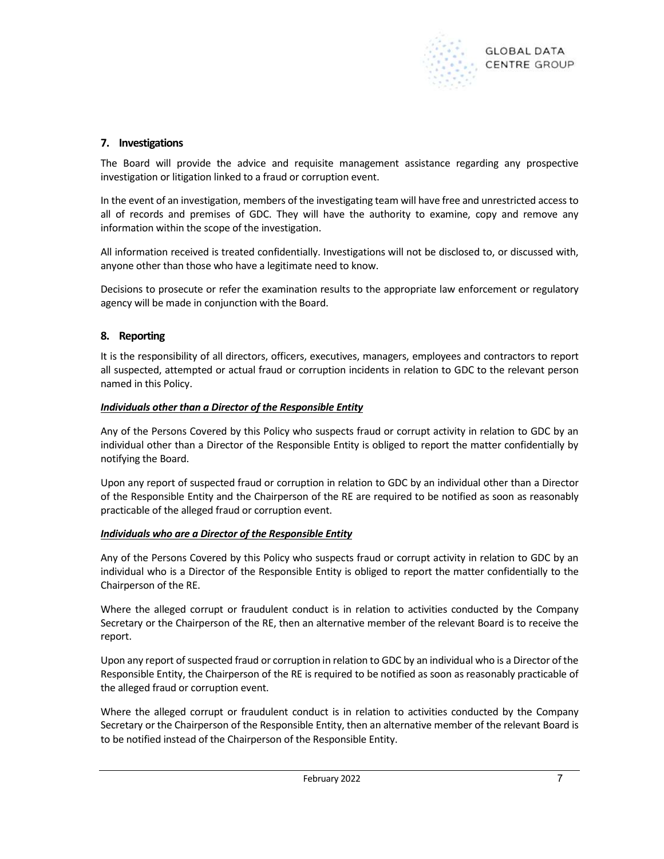

# 7. Investigations

The Board will provide the advice and requisite management assistance regarding any prospective investigation or litigation linked to a fraud or corruption event.

In the event of an investigation, members of the investigating team will have free and unrestricted access to all of records and premises of GDC. They will have the authority to examine, copy and remove any information within the scope of the investigation.

All information received is treated confidentially. Investigations will not be disclosed to, or discussed with, anyone other than those who have a legitimate need to know.

Decisions to prosecute or refer the examination results to the appropriate law enforcement or regulatory agency will be made in conjunction with the Board.

# 8. Reporting

It is the responsibility of all directors, officers, executives, managers, employees and contractors to report all suspected, attempted or actual fraud or corruption incidents in relation to GDC to the relevant person named in this Policy.

#### Individuals other than a Director of the Responsible Entity

Any of the Persons Covered by this Policy who suspects fraud or corrupt activity in relation to GDC by an individual other than a Director of the Responsible Entity is obliged to report the matter confidentially by notifying the Board.

Upon any report of suspected fraud or corruption in relation to GDC by an individual other than a Director of the Responsible Entity and the Chairperson of the RE are required to be notified as soon as reasonably practicable of the alleged fraud or corruption event.

#### Individuals who are a Director of the Responsible Entity

Any of the Persons Covered by this Policy who suspects fraud or corrupt activity in relation to GDC by an individual who is a Director of the Responsible Entity is obliged to report the matter confidentially to the Chairperson of the RE.

Where the alleged corrupt or fraudulent conduct is in relation to activities conducted by the Company Secretary or the Chairperson of the RE, then an alternative member of the relevant Board is to receive the report.

Upon any report of suspected fraud or corruption in relation to GDC by an individual who is a Director of the Responsible Entity, the Chairperson of the RE is required to be notified as soon as reasonably practicable of the alleged fraud or corruption event.

Where the alleged corrupt or fraudulent conduct is in relation to activities conducted by the Company Secretary or the Chairperson of the Responsible Entity, then an alternative member of the relevant Board is to be notified instead of the Chairperson of the Responsible Entity.